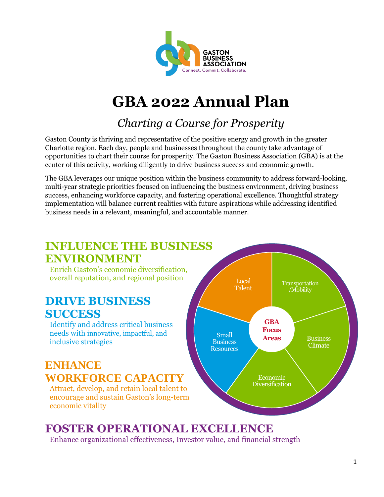

# **GBA 2022 Annual Plan**

## *Charting a Course for Prosperity*

Gaston County is thriving and representative of the positive energy and growth in the greater Charlotte region. Each day, people and businesses throughout the county take advantage of opportunities to chart their course for prosperity. The Gaston Business Association (GBA) is at the center of this activity, working diligently to drive business success and economic growth.

The GBA leverages our unique position within the business community to address forward-looking, multi-year strategic priorities focused on influencing the business environment, driving business success, enhancing workforce capacity, and fostering operational excellence. Thoughtful strategy implementation will balance current realities with future aspirations while addressing identified business needs in a relevant, meaningful, and accountable manner.

## **INFLUENCE THE BUSINESS ENVIRONMENT** Enrich Gaston's economic diversification, overall reputation, and regional position

## **DRIVE BUSINESS SUCCESS**

Identify and address critical business needs with innovative, impactful, and inclusive strategies

## **ENHANCE WORKFORCE CAPACITY**

Attract, develop, and retain local talent to encourage and sustain Gaston's long-term economic vitality



## **FOSTER OPERATIONAL EXCELLENCE**

Enhance organizational effectiveness, Investor value, and financial strength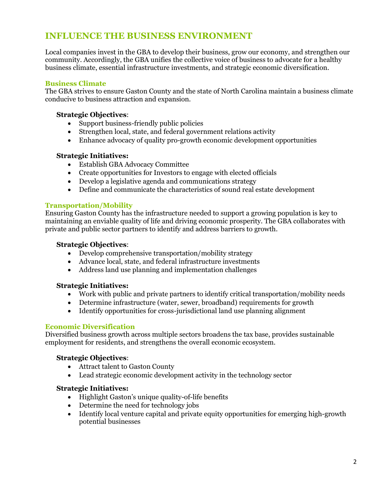### **INFLUENCE THE BUSINESS ENVIRONMENT**

Local companies invest in the GBA to develop their business, grow our economy, and strengthen our community. Accordingly, the GBA unifies the collective voice of business to advocate for a healthy business climate, essential infrastructure investments, and strategic economic diversification.

#### **Business Climate**

The GBA strives to ensure Gaston County and the state of North Carolina maintain a business climate conducive to business attraction and expansion.

#### **Strategic Objectives**:

- Support business-friendly public policies
- Strengthen local, state, and federal government relations activity
- Enhance advocacy of quality pro-growth economic development opportunities

#### **Strategic Initiatives:**

- Establish GBA Advocacy Committee
- Create opportunities for Investors to engage with elected officials
- Develop a legislative agenda and communications strategy
- Define and communicate the characteristics of sound real estate development

#### **Transportation/Mobility**

Ensuring Gaston County has the infrastructure needed to support a growing population is key to maintaining an enviable quality of life and driving economic prosperity. The GBA collaborates with private and public sector partners to identify and address barriers to growth.

#### **Strategic Objectives**:

- Develop comprehensive transportation/mobility strategy
- Advance local, state, and federal infrastructure investments
- Address land use planning and implementation challenges

#### **Strategic Initiatives:**

- Work with public and private partners to identify critical transportation/mobility needs
- Determine infrastructure (water, sewer, broadband) requirements for growth
- Identify opportunities for cross-jurisdictional land use planning alignment

#### **Economic Diversification**

Diversified business growth across multiple sectors broadens the tax base, provides sustainable employment for residents, and strengthens the overall economic ecosystem.

#### **Strategic Objectives**:

- Attract talent to Gaston County
- Lead strategic economic development activity in the technology sector

#### **Strategic Initiatives:**

- Highlight Gaston's unique quality-of-life benefits
- Determine the need for technology jobs
- Identify local venture capital and private equity opportunities for emerging high-growth potential businesses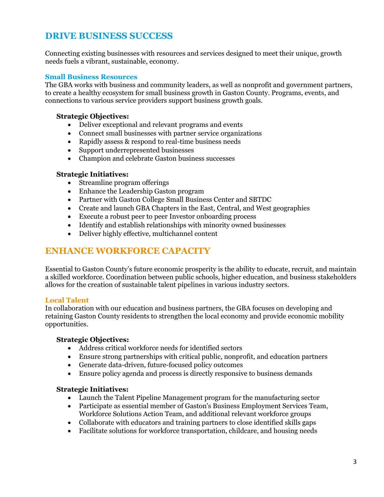### **DRIVE BUSINESS SUCCESS**

Connecting existing businesses with resources and services designed to meet their unique, growth needs fuels a vibrant, sustainable, economy.

#### **Small Business Resources**

The GBA works with business and community leaders, as well as nonprofit and government partners, to create a healthy ecosystem for small business growth in Gaston County. Programs, events, and connections to various service providers support business growth goals.

#### **Strategic Objectives:**

- Deliver exceptional and relevant programs and events
- Connect small businesses with partner service organizations
- Rapidly assess & respond to real-time business needs
- Support underrepresented businesses
- Champion and celebrate Gaston business successes

#### **Strategic Initiatives:**

- Streamline program offerings
- Enhance the Leadership Gaston program
- Partner with Gaston College Small Business Center and SBTDC
- Create and launch GBA Chapters in the East, Central, and West geographies
- Execute a robust peer to peer Investor onboarding process
- Identify and establish relationships with minority owned businesses
- Deliver highly effective, multichannel content

### **ENHANCE WORKFORCE CAPACITY**

Essential to Gaston County's future economic prosperity is the ability to educate, recruit, and maintain a skilled workforce. Coordination between public schools, higher education, and business stakeholders allows for the creation of sustainable talent pipelines in various industry sectors.

#### **Local Talent**

In collaboration with our education and business partners, the GBA focuses on developing and retaining Gaston County residents to strengthen the local economy and provide economic mobility opportunities.

#### **Strategic Objectives:**

- Address critical workforce needs for identified sectors
- Ensure strong partnerships with critical public, nonprofit, and education partners
- Generate data-driven, future-focused policy outcomes
- Ensure policy agenda and process is directly responsive to business demands

#### **Strategic Initiatives:**

- Launch the Talent Pipeline Management program for the manufacturing sector
- Participate as essential member of Gaston's Business Employment Services Team, Workforce Solutions Action Team, and additional relevant workforce groups
- Collaborate with educators and training partners to close identified skills gaps
- Facilitate solutions for workforce transportation, childcare, and housing needs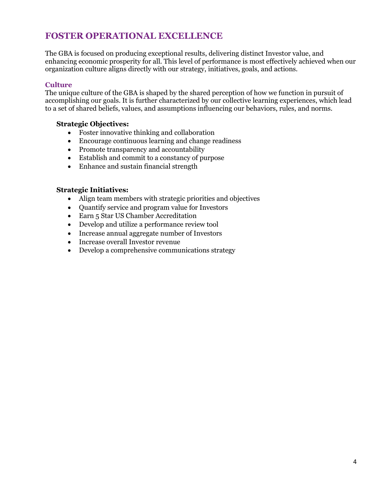### **FOSTER OPERATIONAL EXCELLENCE**

The GBA is focused on producing exceptional results, delivering distinct Investor value, and enhancing economic prosperity for all. This level of performance is most effectively achieved when our organization culture aligns directly with our strategy, initiatives, goals, and actions.

#### **Culture**

The unique culture of the GBA is shaped by the shared perception of how we function in pursuit of accomplishing our goals. It is further characterized by our collective learning experiences, which lead to a set of shared beliefs, values, and assumptions influencing our behaviors, rules, and norms.

#### **Strategic Objectives:**

- Foster innovative thinking and collaboration
- Encourage continuous learning and change readiness
- Promote transparency and accountability
- Establish and commit to a constancy of purpose
- Enhance and sustain financial strength

#### **Strategic Initiatives:**

- Align team members with strategic priorities and objectives
- Quantify service and program value for Investors
- Earn 5 Star US Chamber Accreditation
- Develop and utilize a performance review tool
- Increase annual aggregate number of Investors
- Increase overall Investor revenue
- Develop a comprehensive communications strategy